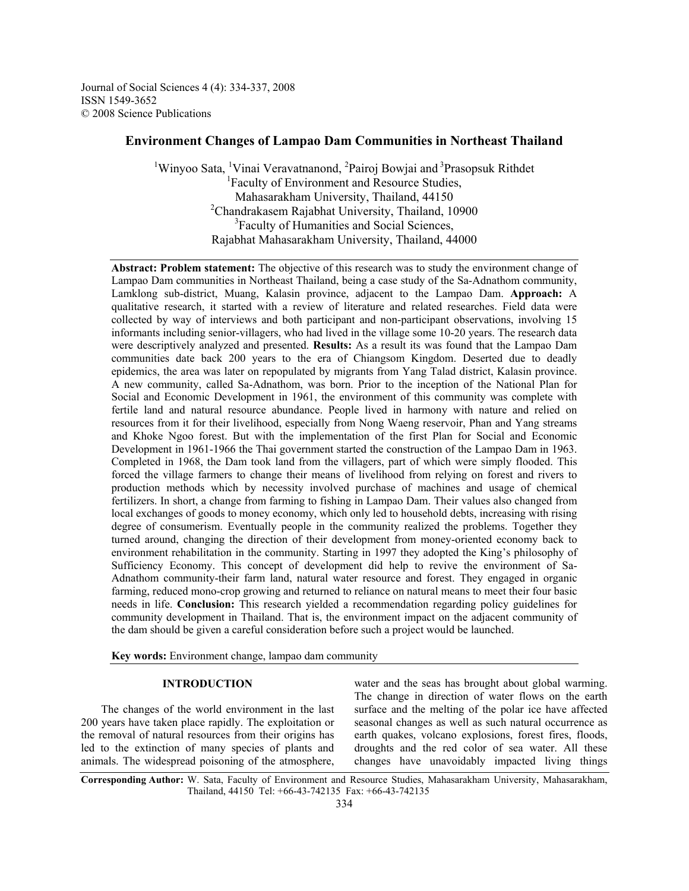Journal of Social Sciences 4 (4): 334-337, 2008 ISSN 1549-3652 © 2008 Science Publications

# **Environment Changes of Lampao Dam Communities in Northeast Thailand**

<sup>1</sup>Winyoo Sata, <sup>1</sup>Vinai Veravatnanond, <sup>2</sup>Pairoj Bowjai and <sup>3</sup>Prasopsuk Rithdet <sup>1</sup>Faculty of Environment and Resource Studies, Mahasarakham University, Thailand, 44150 <sup>2</sup>Chandrakasem Rajabhat University, Thailand, 10900 <sup>3</sup>Faculty of Humanities and Social Sciences, Rajabhat Mahasarakham University, Thailand, 44000

**Abstract: Problem statement:** The objective of this research was to study the environment change of Lampao Dam communities in Northeast Thailand, being a case study of the Sa-Adnathom community, Lamklong sub-district, Muang, Kalasin province, adjacent to the Lampao Dam. **Approach:** A qualitative research, it started with a review of literature and related researches. Field data were collected by way of interviews and both participant and non-participant observations, involving 15 informants including senior-villagers, who had lived in the village some 10-20 years. The research data were descriptively analyzed and presented. **Results:** As a result its was found that the Lampao Dam communities date back 200 years to the era of Chiangsom Kingdom. Deserted due to deadly epidemics, the area was later on repopulated by migrants from Yang Talad district, Kalasin province. A new community, called Sa-Adnathom, was born. Prior to the inception of the National Plan for Social and Economic Development in 1961, the environment of this community was complete with fertile land and natural resource abundance. People lived in harmony with nature and relied on resources from it for their livelihood, especially from Nong Waeng reservoir, Phan and Yang streams and Khoke Ngoo forest. But with the implementation of the first Plan for Social and Economic Development in 1961-1966 the Thai government started the construction of the Lampao Dam in 1963. Completed in 1968, the Dam took land from the villagers, part of which were simply flooded. This forced the village farmers to change their means of livelihood from relying on forest and rivers to production methods which by necessity involved purchase of machines and usage of chemical fertilizers. In short, a change from farming to fishing in Lampao Dam. Their values also changed from local exchanges of goods to money economy, which only led to household debts, increasing with rising degree of consumerism. Eventually people in the community realized the problems. Together they turned around, changing the direction of their development from money-oriented economy back to environment rehabilitation in the community. Starting in 1997 they adopted the King's philosophy of Sufficiency Economy. This concept of development did help to revive the environment of Sa-Adnathom community-their farm land, natural water resource and forest. They engaged in organic farming, reduced mono-crop growing and returned to reliance on natural means to meet their four basic needs in life. **Conclusion:** This research yielded a recommendation regarding policy guidelines for community development in Thailand. That is, the environment impact on the adjacent community of the dam should be given a careful consideration before such a project would be launched.

**Key words:** Environment change, lampao dam community

# **INTRODUCTION**

 The changes of the world environment in the last 200 years have taken place rapidly. The exploitation or the removal of natural resources from their origins has led to the extinction of many species of plants and animals. The widespread poisoning of the atmosphere,

water and the seas has brought about global warming. The change in direction of water flows on the earth surface and the melting of the polar ice have affected seasonal changes as well as such natural occurrence as earth quakes, volcano explosions, forest fires, floods, droughts and the red color of sea water. All these changes have unavoidably impacted living things

**Corresponding Author:** W. Sata, Faculty of Environment and Resource Studies, Mahasarakham University, Mahasarakham, Thailand, 44150 Tel: +66-43-742135 Fax: +66-43-742135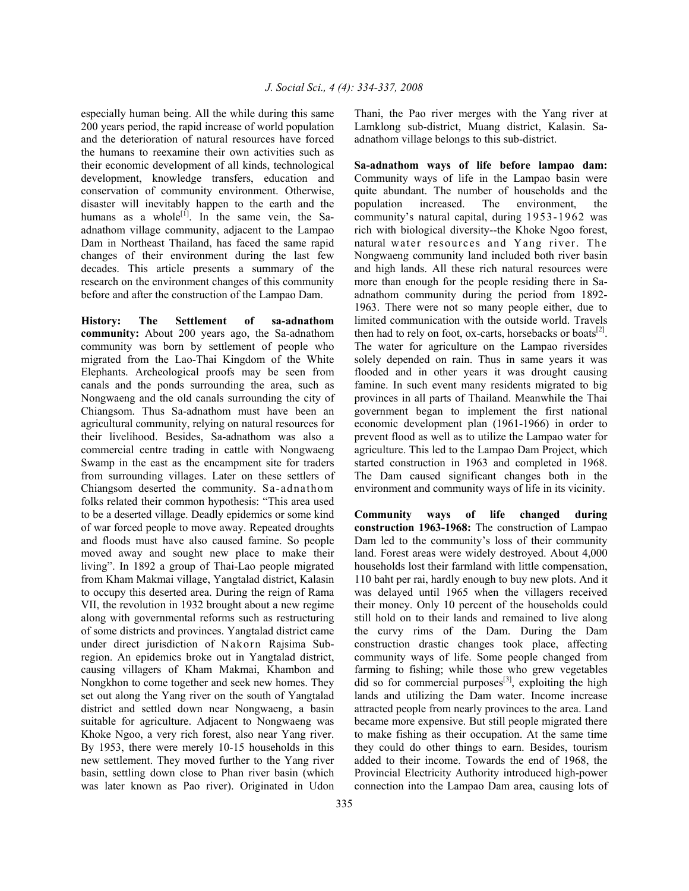especially human being. All the while during this same 200 years period, the rapid increase of world population and the deterioration of natural resources have forced the humans to reexamine their own activities such as their economic development of all kinds, technological development, knowledge transfers, education and conservation of community environment. Otherwise, disaster will inevitably happen to the earth and the humans as a whole<sup>[1]</sup>. In the same vein, the Saadnathom village community, adjacent to the Lampao Dam in Northeast Thailand, has faced the same rapid changes of their environment during the last few decades. This article presents a summary of the research on the environment changes of this community before and after the construction of the Lampao Dam.

**History: The Settlement of sa-adnathom community:** About 200 years ago, the Sa-adnathom community was born by settlement of people who migrated from the Lao-Thai Kingdom of the White Elephants. Archeological proofs may be seen from canals and the ponds surrounding the area, such as Nongwaeng and the old canals surrounding the city of Chiangsom. Thus Sa-adnathom must have been an agricultural community, relying on natural resources for their livelihood. Besides, Sa-adnathom was also a commercial centre trading in cattle with Nongwaeng Swamp in the east as the encampment site for traders from surrounding villages. Later on these settlers of Chiangsom deserted the community. Sa-adnathom folks related their common hypothesis: "This area used to be a deserted village. Deadly epidemics or some kind of war forced people to move away. Repeated droughts and floods must have also caused famine. So people moved away and sought new place to make their living". In 1892 a group of Thai-Lao people migrated from Kham Makmai village, Yangtalad district, Kalasin to occupy this deserted area. During the reign of Rama VII, the revolution in 1932 brought about a new regime along with governmental reforms such as restructuring of some districts and provinces. Yangtalad district came under direct jurisdiction of Nakorn Rajsima Subregion. An epidemics broke out in Yangtalad district, causing villagers of Kham Makmai, Khambon and Nongkhon to come together and seek new homes. They set out along the Yang river on the south of Yangtalad district and settled down near Nongwaeng, a basin suitable for agriculture. Adjacent to Nongwaeng was Khoke Ngoo, a very rich forest, also near Yang river. By 1953, there were merely 10-15 households in this new settlement. They moved further to the Yang river basin, settling down close to Phan river basin (which was later known as Pao river). Originated in Udon

Thani, the Pao river merges with the Yang river at Lamklong sub-district, Muang district, Kalasin. Saadnathom village belongs to this sub-district.

**Sa-adnathom ways of life before lampao dam:**  Community ways of life in the Lampao basin were quite abundant. The number of households and the population increased. The environment, the community's natural capital, during 1953-1962 was rich with biological diversity--the Khoke Ngoo forest, natural water resources and Yang river. The Nongwaeng community land included both river basin and high lands. All these rich natural resources were more than enough for the people residing there in Saadnathom community during the period from 1892- 1963. There were not so many people either, due to limited communication with the outside world. Travels then had to rely on foot, ox-carts, horsebacks or boats $^{[2]}$ . The water for agriculture on the Lampao riversides solely depended on rain. Thus in same years it was flooded and in other years it was drought causing famine. In such event many residents migrated to big provinces in all parts of Thailand. Meanwhile the Thai government began to implement the first national economic development plan (1961-1966) in order to prevent flood as well as to utilize the Lampao water for agriculture. This led to the Lampao Dam Project, which started construction in 1963 and completed in 1968. The Dam caused significant changes both in the environment and community ways of life in its vicinity.

**Community ways of life changed during construction 1963-1968:** The construction of Lampao Dam led to the community's loss of their community land. Forest areas were widely destroyed. About 4,000 households lost their farmland with little compensation, 110 baht per rai, hardly enough to buy new plots. And it was delayed until 1965 when the villagers received their money. Only 10 percent of the households could still hold on to their lands and remained to live along the curvy rims of the Dam. During the Dam construction drastic changes took place, affecting community ways of life. Some people changed from farming to fishing; while those who grew vegetables did so for commercial purposes $^{[3]}$ , exploiting the high lands and utilizing the Dam water. Income increase attracted people from nearly provinces to the area. Land became more expensive. But still people migrated there to make fishing as their occupation. At the same time they could do other things to earn. Besides, tourism added to their income. Towards the end of 1968, the Provincial Electricity Authority introduced high-power connection into the Lampao Dam area, causing lots of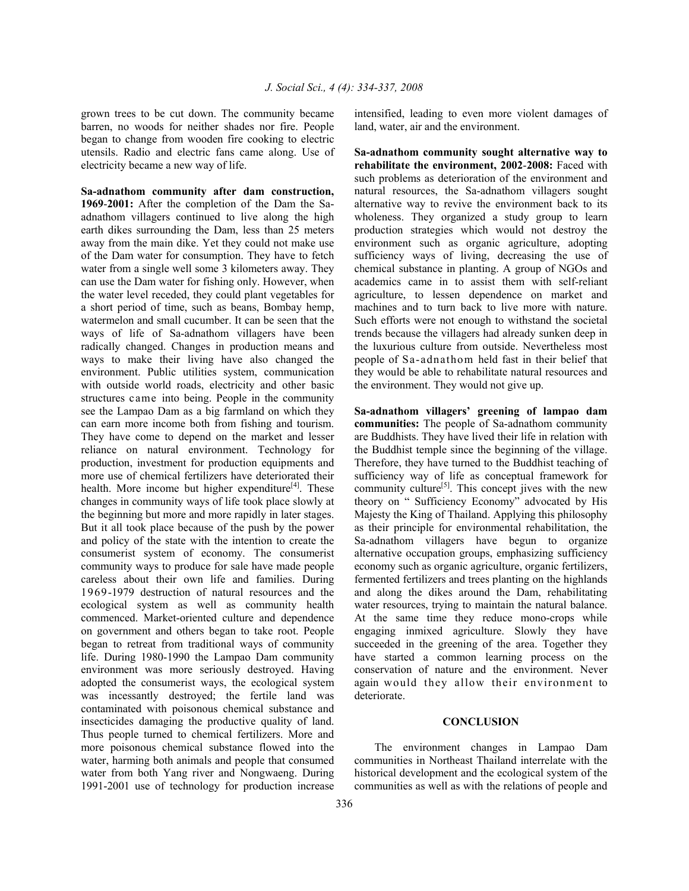grown trees to be cut down. The community became barren, no woods for neither shades nor fire. People began to change from wooden fire cooking to electric utensils. Radio and electric fans came along. Use of electricity became a new way of life.

**Sa-adnathom community after dam construction, 1969**-**2001:** After the completion of the Dam the Saadnathom villagers continued to live along the high earth dikes surrounding the Dam, less than 25 meters away from the main dike. Yet they could not make use of the Dam water for consumption. They have to fetch water from a single well some 3 kilometers away. They can use the Dam water for fishing only. However, when the water level receded, they could plant vegetables for a short period of time, such as beans, Bombay hemp, watermelon and small cucumber. It can be seen that the ways of life of Sa-adnathom villagers have been radically changed. Changes in production means and ways to make their living have also changed the environment. Public utilities system, communication with outside world roads, electricity and other basic structures came into being. People in the community see the Lampao Dam as a big farmland on which they can earn more income both from fishing and tourism. They have come to depend on the market and lesser reliance on natural environment. Technology for production, investment for production equipments and more use of chemical fertilizers have deteriorated their health. More income but higher expenditure<sup>[4]</sup>. These changes in community ways of life took place slowly at the beginning but more and more rapidly in later stages. But it all took place because of the push by the power and policy of the state with the intention to create the consumerist system of economy. The consumerist community ways to produce for sale have made people careless about their own life and families. During 1969-1979 destruction of natural resources and the ecological system as well as community health commenced. Market-oriented culture and dependence on government and others began to take root. People began to retreat from traditional ways of community life. During 1980-1990 the Lampao Dam community environment was more seriously destroyed. Having adopted the consumerist ways, the ecological system was incessantly destroyed; the fertile land was contaminated with poisonous chemical substance and insecticides damaging the productive quality of land. Thus people turned to chemical fertilizers. More and more poisonous chemical substance flowed into the water, harming both animals and people that consumed water from both Yang river and Nongwaeng. During 1991-2001 use of technology for production increase

intensified, leading to even more violent damages of land, water, air and the environment.

**Sa-adnathom community sought alternative way to rehabilitate the environment, 2002**-**2008:** Faced with such problems as deterioration of the environment and natural resources, the Sa-adnathom villagers sought alternative way to revive the environment back to its wholeness. They organized a study group to learn production strategies which would not destroy the environment such as organic agriculture, adopting sufficiency ways of living, decreasing the use of chemical substance in planting. A group of NGOs and academics came in to assist them with self-reliant agriculture, to lessen dependence on market and machines and to turn back to live more with nature. Such efforts were not enough to withstand the societal trends because the villagers had already sunken deep in the luxurious culture from outside. Nevertheless most people of Sa-adnathom held fast in their belief that they would be able to rehabilitate natural resources and the environment. They would not give up.

**Sa-adnathom villagers' greening of lampao dam communities:** The people of Sa-adnathom community are Buddhists. They have lived their life in relation with the Buddhist temple since the beginning of the village. Therefore, they have turned to the Buddhist teaching of sufficiency way of life as conceptual framework for community culture<sup>[5]</sup>. This concept jives with the new theory on " Sufficiency Economy" advocated by His Majesty the King of Thailand. Applying this philosophy as their principle for environmental rehabilitation, the Sa-adnathom villagers have begun to organize alternative occupation groups, emphasizing sufficiency economy such as organic agriculture, organic fertilizers, fermented fertilizers and trees planting on the highlands and along the dikes around the Dam, rehabilitating water resources, trying to maintain the natural balance. At the same time they reduce mono-crops while engaging inmixed agriculture. Slowly they have succeeded in the greening of the area. Together they have started a common learning process on the conservation of nature and the environment. Never again would they allow their environment to deteriorate.

## **CONCLUSION**

 The environment changes in Lampao Dam communities in Northeast Thailand interrelate with the historical development and the ecological system of the communities as well as with the relations of people and